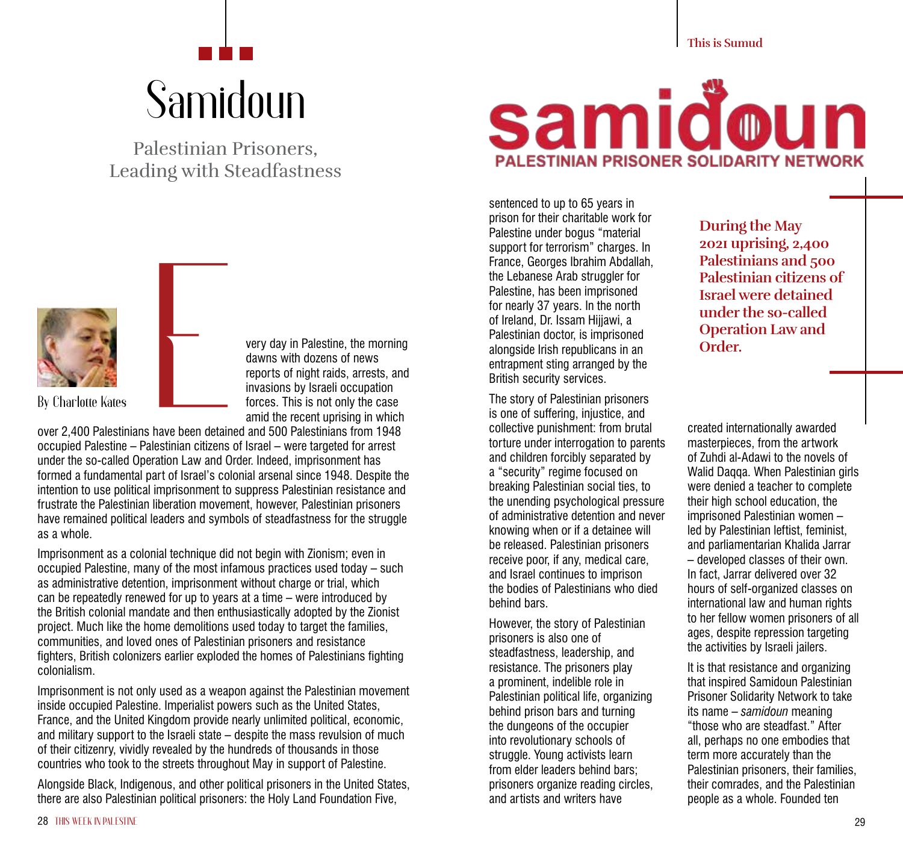## Samidoun

Palestinian Prisoners, Leading with Steadfastness



very day in Palestine, the morning dawns with dozens of news reports of night raids, arrests, and invasions by Israeli occupation forces. This is not only the case amid the recent uprising in which

over 2,400 Palestinians have been detained and 500 Palestinians from 1948 occupied Palestine – Palestinian citizens of Israel – were targeted for arrest under the so-called Operation Law and Order. Indeed, imprisonment has formed a fundamental part of Israel's colonial arsenal since 1948. Despite the intention to use political imprisonment to suppress Palestinian resistance and frustrate the Palestinian liberation movement, however, Palestinian prisoners have remained political leaders and symbols of steadfastness for the struggle as a whole.

Imprisonment as a colonial technique did not begin with Zionism; even in occupied Palestine, many of the most infamous practices used today – such as administrative detention, imprisonment without charge or trial, which can be repeatedly renewed for up to years at a time – were introduced by the British colonial mandate and then enthusiastically adopted by the Zionist project. Much like the home demolitions used today to target the families, communities, and loved ones of Palestinian prisoners and resistance fighters, British colonizers earlier exploded the homes of Palestinians fighting colonialism.

Imprisonment is not only used as a weapon against the Palestinian movement inside occupied Palestine. Imperialist powers such as the United States, France, and the United Kingdom provide nearly unlimited political, economic, and military support to the Israeli state – despite the mass revulsion of much of their citizenry, vividly revealed by the hundreds of thousands in those countries who took to the streets throughout May in support of Palestine.

Alongside Black, Indigenous, and other political prisoners in the United States, there are also Palestinian political prisoners: the Holy Land Foundation Five,



sentenced to up to 65 years in prison for their charitable work for Palestine under bogus "material support for terrorism" charges. In France, Georges Ibrahim Abdallah, the Lebanese Arab struggler for Palestine, has been imprisoned for nearly 37 years. In the north of Ireland, Dr. Issam Hijjawi, a Palestinian doctor, is imprisoned alongside Irish republicans in an entrapment sting arranged by the British security services.

The story of Palestinian prisoners is one of suffering, injustice, and collective punishment: from brutal torture under interrogation to parents and children forcibly separated by a "security" regime focused on breaking Palestinian social ties, to the unending psychological pressure of administrative detention and never knowing when or if a detainee will be released. Palestinian prisoners receive poor, if any, medical care, and Israel continues to imprison the bodies of Palestinians who died behind bars.

However, the story of Palestinian prisoners is also one of steadfastness, leadership, and resistance. The prisoners play a prominent, indelible role in Palestinian political life, organizing behind prison bars and turning the dungeons of the occupier into revolutionary schools of struggle. Young activists learn from elder leaders behind bars; prisoners organize reading circles, and artists and writers have

**During the May 2021 uprising, 2,400 Palestinians and 500 Palestinian citizens of Israel were detained under the so-called Operation Law and Order.** 

created internationally awarded masterpieces, from the artwork of Zuhdi al-Adawi to the novels of Walid Daqqa. When Palestinian girls were denied a teacher to complete their high school education, the imprisoned Palestinian women – led by Palestinian leftist, feminist, and parliamentarian Khalida Jarrar – developed classes of their own. In fact, Jarrar delivered over 32 hours of self-organized classes on international law and human rights to her fellow women prisoners of all ages, despite repression targeting the activities by Israeli jailers.

It is that resistance and organizing that inspired Samidoun Palestinian Prisoner Solidarity Network to take its name – *samidoun* meaning "those who are steadfast." After all, perhaps no one embodies that term more accurately than the Palestinian prisoners, their families, their comrades, and the Palestinian people as a whole. Founded ten